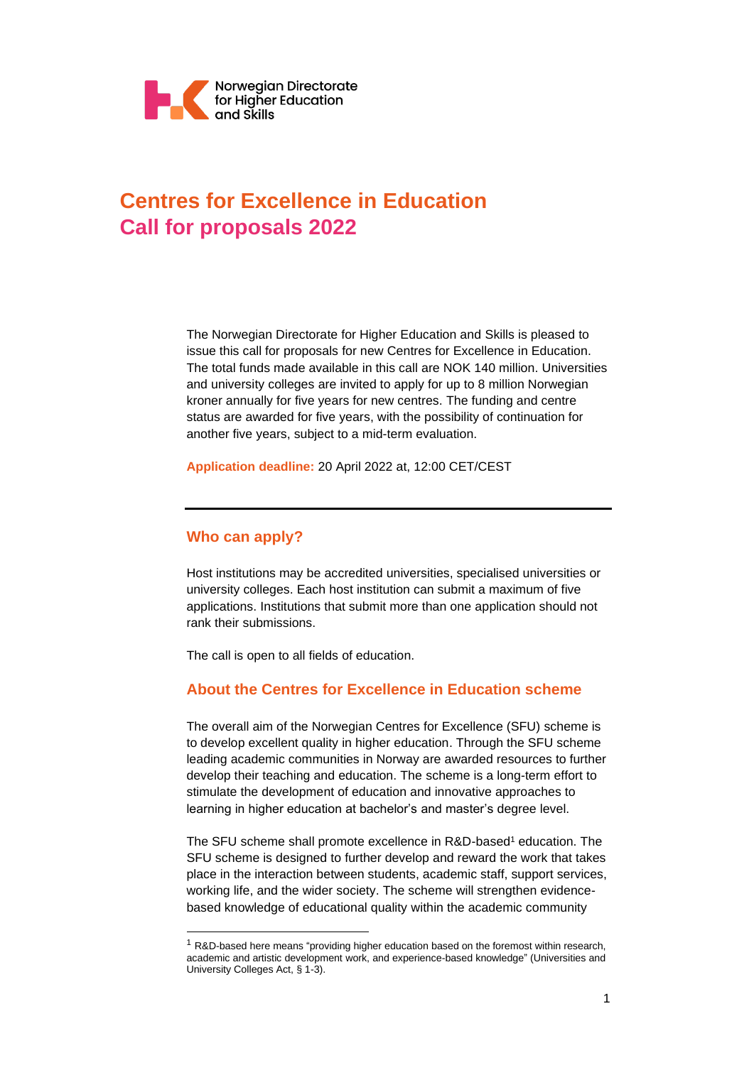

# **Centres for Excellence in Education Call for proposals 2022**

The Norwegian Directorate for Higher Education and Skills is pleased to issue this call for proposals for new Centres for Excellence in Education. The total funds made available in this call are NOK 140 million. Universities and university colleges are invited to apply for up to 8 million Norwegian kroner annually for five years for new centres. The funding and centre status are awarded for five years, with the possibility of continuation for another five years, subject to a mid-term evaluation.

**Application deadline:** 20 April 2022 at, 12:00 CET/CEST

# **Who can apply?**

Host institutions may be accredited universities, specialised universities or university colleges. Each host institution can submit a maximum of five applications. Institutions that submit more than one application should not rank their submissions.

The call is open to all fields of education.

# **About the Centres for Excellence in Education scheme**

The overall aim of the Norwegian Centres for Excellence (SFU) scheme is to develop excellent quality in higher education. Through the SFU scheme leading academic communities in Norway are awarded resources to further develop their teaching and education. The scheme is a long-term effort to stimulate the development of education and innovative approaches to learning in higher education at bachelor's and master's degree level.

The SFU scheme shall promote excellence in R&D-based<sup>1</sup> education. The SFU scheme is designed to further develop and reward the work that takes place in the interaction between students, academic staff, support services, working life, and the wider society. The scheme will strengthen evidencebased knowledge of educational quality within the academic community

<sup>&</sup>lt;sup>1</sup> R&D-based here means "providing higher education based on the foremost within research, academic and artistic development work, and experience-based knowledge" (Universities and University Colleges Act, § 1-3).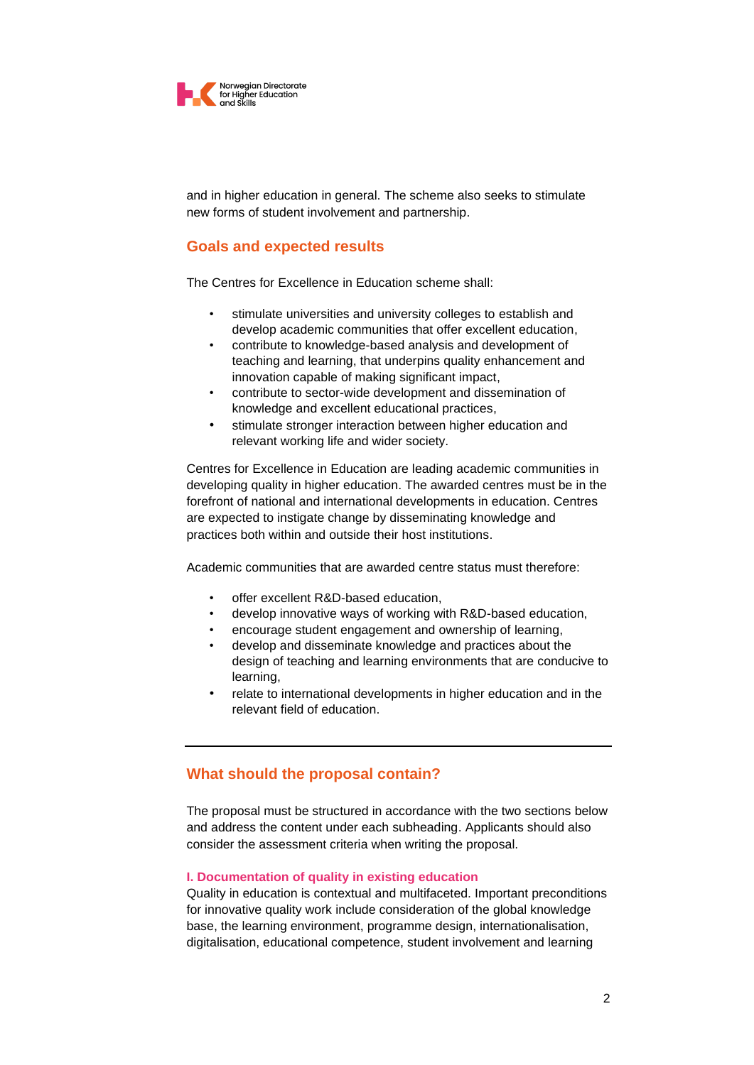

and in higher education in general. The scheme also seeks to stimulate new forms of student involvement and partnership.

## **Goals and expected results**

The Centres for Excellence in Education scheme shall:

- stimulate universities and university colleges to establish and develop academic communities that offer excellent education,
- contribute to knowledge-based analysis and development of teaching and learning, that underpins quality enhancement and innovation capable of making significant impact,
- contribute to sector-wide development and dissemination of knowledge and excellent educational practices,
- stimulate stronger interaction between higher education and relevant working life and wider society.

Centres for Excellence in Education are leading academic communities in developing quality in higher education. The awarded centres must be in the forefront of national and international developments in education. Centres are expected to instigate change by disseminating knowledge and practices both within and outside their host institutions.

Academic communities that are awarded centre status must therefore:

- offer excellent R&D-based education,
- develop innovative ways of working with R&D-based education,
- encourage student engagement and ownership of learning,
- develop and disseminate knowledge and practices about the design of teaching and learning environments that are conducive to learning,
- relate to international developments in higher education and in the relevant field of education.

# **What should the proposal contain?**

The proposal must be structured in accordance with the two sections below and address the content under each subheading. Applicants should also consider the assessment criteria when writing the proposal.

### **I. Documentation of quality in existing education**

Quality in education is contextual and multifaceted. Important preconditions for innovative quality work include consideration of the global knowledge base, the learning environment, programme design, internationalisation, digitalisation, educational competence, student involvement and learning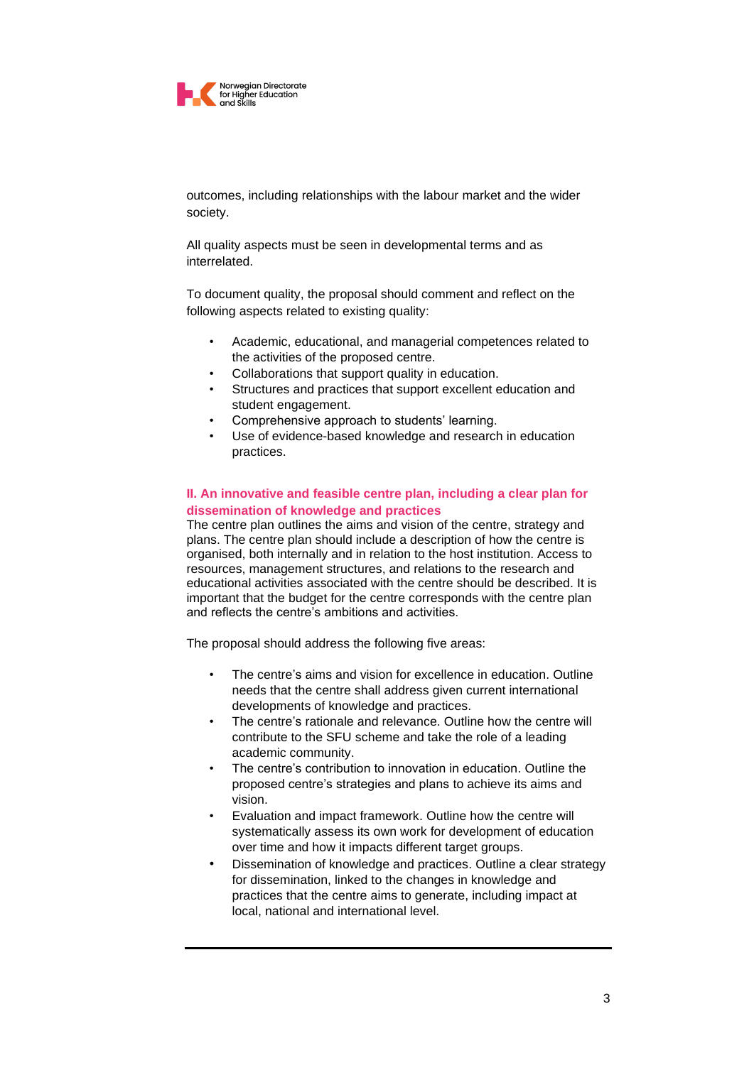

outcomes, including relationships with the labour market and the wider society.

All quality aspects must be seen in developmental terms and as interrelated.

To document quality, the proposal should comment and reflect on the following aspects related to existing quality:

- Academic, educational, and managerial competences related to the activities of the proposed centre.
- Collaborations that support quality in education.
- Structures and practices that support excellent education and student engagement.
- Comprehensive approach to students' learning.
- Use of evidence-based knowledge and research in education practices.

### **II. An innovative and feasible centre plan, including a clear plan for dissemination of knowledge and practices**

The centre plan outlines the aims and vision of the centre, strategy and plans. The centre plan should include a description of how the centre is organised, both internally and in relation to the host institution. Access to resources, management structures, and relations to the research and educational activities associated with the centre should be described. It is important that the budget for the centre corresponds with the centre plan and reflects the centre's ambitions and activities.

The proposal should address the following five areas:

- The centre's aims and vision for excellence in education. Outline needs that the centre shall address given current international developments of knowledge and practices.
- The centre's rationale and relevance. Outline how the centre will contribute to the SFU scheme and take the role of a leading academic community.
- The centre's contribution to innovation in education. Outline the proposed centre's strategies and plans to achieve its aims and vision.
- Evaluation and impact framework. Outline how the centre will systematically assess its own work for development of education over time and how it impacts different target groups.
- Dissemination of knowledge and practices. Outline a clear strategy for dissemination, linked to the changes in knowledge and practices that the centre aims to generate, including impact at local, national and international level.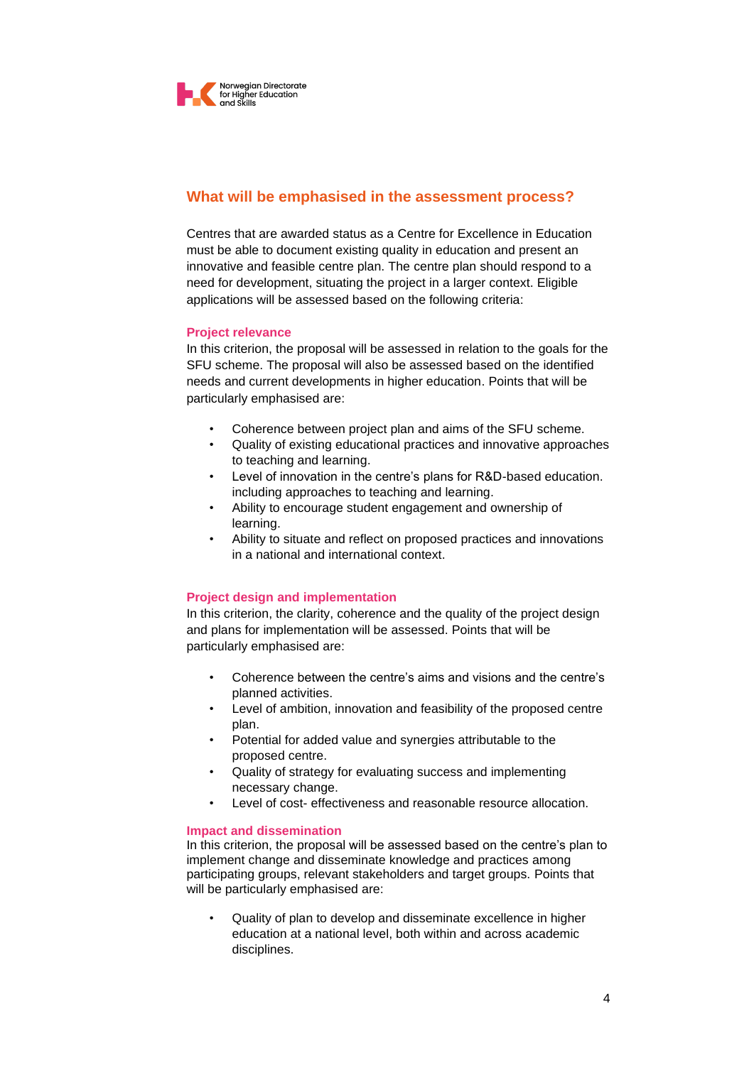

# **What will be emphasised in the assessment process?**

Centres that are awarded status as a Centre for Excellence in Education must be able to document existing quality in education and present an innovative and feasible centre plan. The centre plan should respond to a need for development, situating the project in a larger context. Eligible applications will be assessed based on the following criteria:

### **Project relevance**

In this criterion, the proposal will be assessed in relation to the goals for the SFU scheme. The proposal will also be assessed based on the identified needs and current developments in higher education. Points that will be particularly emphasised are:

- Coherence between project plan and aims of the SFU scheme.
- Quality of existing educational practices and innovative approaches to teaching and learning.
- Level of innovation in the centre's plans for R&D-based education. including approaches to teaching and learning.
- Ability to encourage student engagement and ownership of learning.
- Ability to situate and reflect on proposed practices and innovations in a national and international context.

# **Project design and implementation**

In this criterion, the clarity, coherence and the quality of the project design and plans for implementation will be assessed. Points that will be particularly emphasised are:

- Coherence between the centre's aims and visions and the centre's planned activities.
- Level of ambition, innovation and feasibility of the proposed centre plan.
- Potential for added value and synergies attributable to the proposed centre.
- Quality of strategy for evaluating success and implementing necessary change.
- Level of cost- effectiveness and reasonable resource allocation.

### **Impact and dissemination**

In this criterion, the proposal will be assessed based on the centre's plan to implement change and disseminate knowledge and practices among participating groups, relevant stakeholders and target groups. Points that will be particularly emphasised are:

• Quality of plan to develop and disseminate excellence in higher education at a national level, both within and across academic disciplines.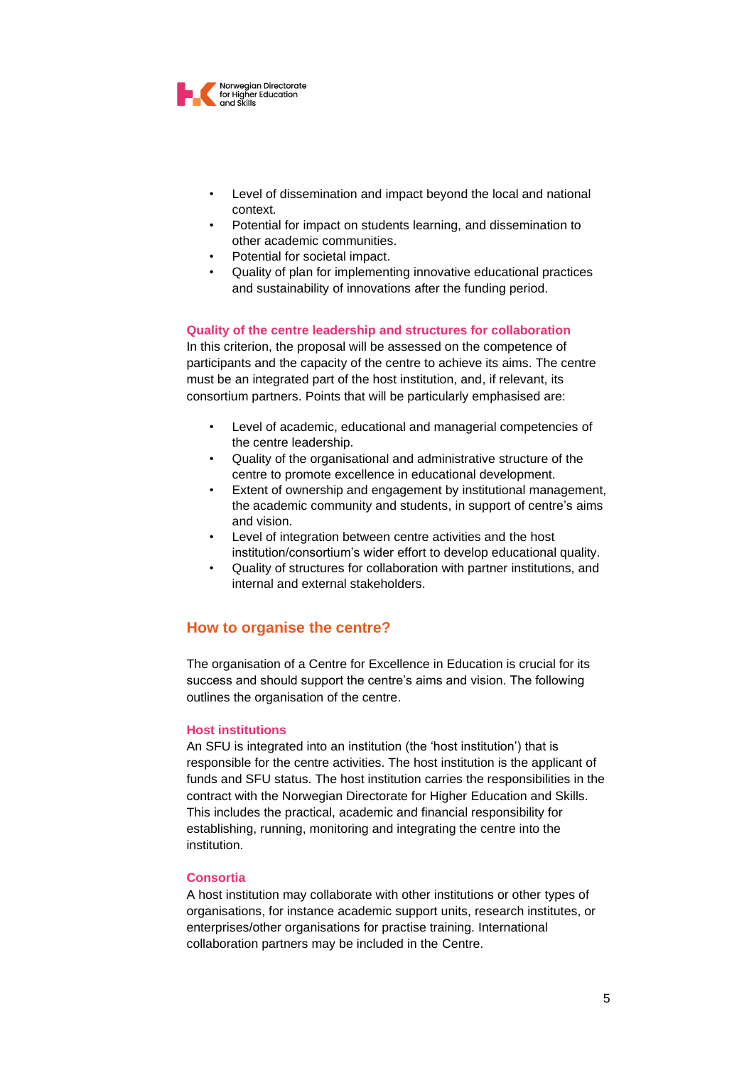

- Level of dissemination and impact beyond the local and national context.
- Potential for impact on students learning, and dissemination to other academic communities.
- Potential for societal impact.
- Quality of plan for implementing innovative educational practices and sustainability of innovations after the funding period.

### **Quality of the centre leadership and structures for collaboration**

In this criterion, the proposal will be assessed on the competence of participants and the capacity of the centre to achieve its aims. The centre must be an integrated part of the host institution, and, if relevant, its consortium partners. Points that will be particularly emphasised are:

- Level of academic, educational and managerial competencies of the centre leadership.
- Quality of the organisational and administrative structure of the centre to promote excellence in educational development.
- Extent of ownership and engagement by institutional management, the academic community and students, in support of centre's aims and vision.
- Level of integration between centre activities and the host institution/consortium's wider effort to develop educational quality.
- Quality of structures for collaboration with partner institutions, and internal and external stakeholders.

# **How to organise the centre?**

The organisation of a Centre for Excellence in Education is crucial for its success and should support the centre's aims and vision. The following outlines the organisation of the centre.

### **Host institutions**

An SFU is integrated into an institution (the 'host institution') that is responsible for the centre activities. The host institution is the applicant of funds and SFU status. The host institution carries the responsibilities in the contract with the Norwegian Directorate for Higher Education and Skills. This includes the practical, academic and financial responsibility for establishing, running, monitoring and integrating the centre into the institution.

### **Consortia**

A host institution may collaborate with other institutions or other types of organisations, for instance academic support units, research institutes, or enterprises/other organisations for practise training. International collaboration partners may be included in the Centre.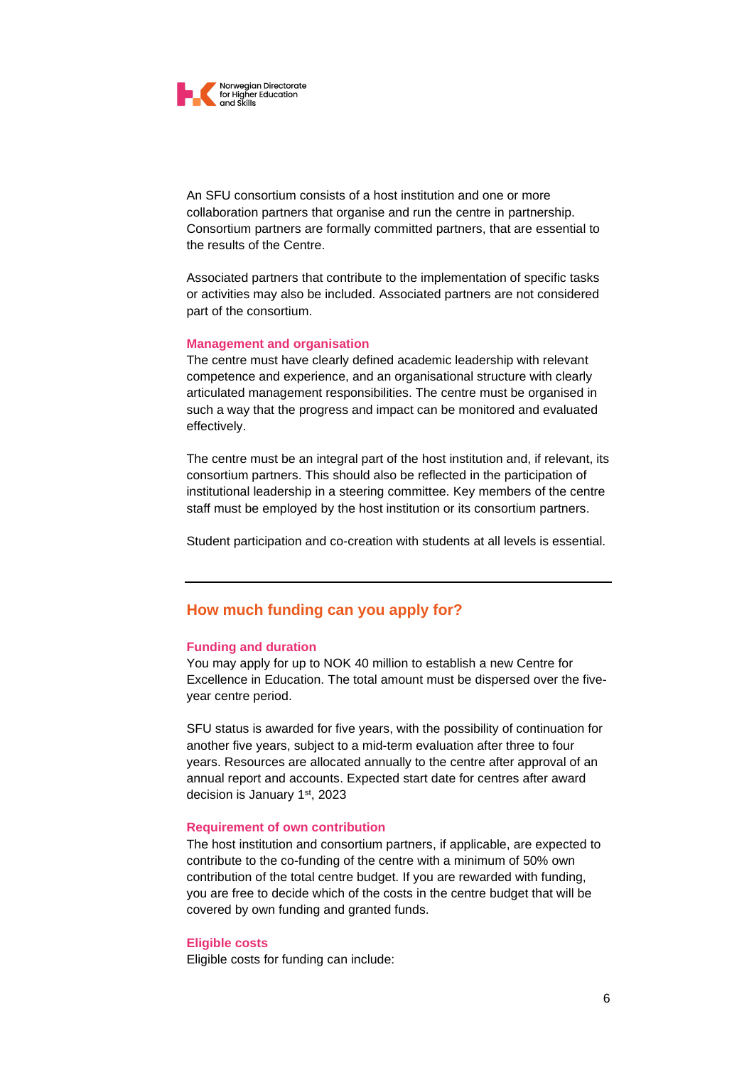

An SFU consortium consists of a host institution and one or more collaboration partners that organise and run the centre in partnership. Consortium partners are formally committed partners, that are essential to the results of the Centre.

Associated partners that contribute to the implementation of specific tasks or activities may also be included. Associated partners are not considered part of the consortium.

#### **Management and organisation**

The centre must have clearly defined academic leadership with relevant competence and experience, and an organisational structure with clearly articulated management responsibilities. The centre must be organised in such a way that the progress and impact can be monitored and evaluated effectively.

The centre must be an integral part of the host institution and, if relevant, its consortium partners. This should also be reflected in the participation of institutional leadership in a steering committee. Key members of the centre staff must be employed by the host institution or its consortium partners.

Student participation and co-creation with students at all levels is essential.

# **How much funding can you apply for?**

### **Funding and duration**

You may apply for up to NOK 40 million to establish a new Centre for Excellence in Education. The total amount must be dispersed over the fiveyear centre period.

SFU status is awarded for five years, with the possibility of continuation for another five years, subject to a mid-term evaluation after three to four years. Resources are allocated annually to the centre after approval of an annual report and accounts. Expected start date for centres after award decision is January 1<sup>st</sup>, 2023

### **Requirement of own contribution**

The host institution and consortium partners, if applicable, are expected to contribute to the co-funding of the centre with a minimum of 50% own contribution of the total centre budget. If you are rewarded with funding, you are free to decide which of the costs in the centre budget that will be covered by own funding and granted funds.

#### **Eligible costs**

Eligible costs for funding can include: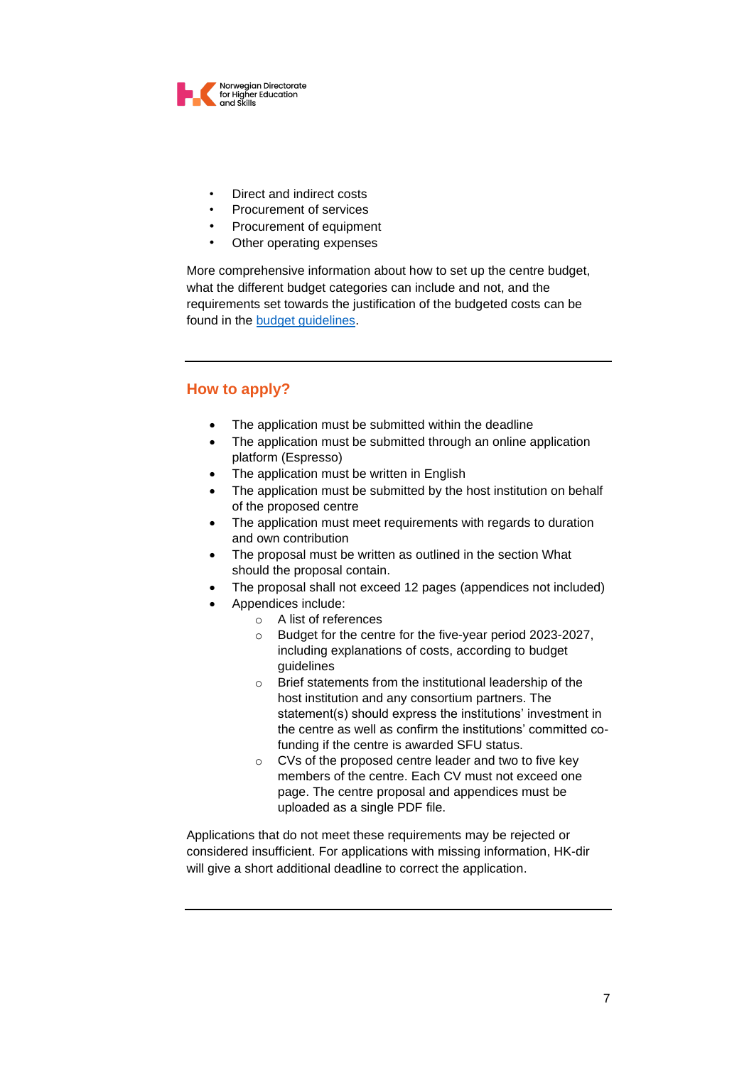

- Direct and indirect costs
- Procurement of services
- Procurement of equipment
- Other operating expenses

More comprehensive information about how to set up the centre budget, what the different budget categories can include and not, and the requirements set towards the justification of the budgeted costs can be found in the [budget guidelines.](https://diku.no/media/diku-files/diku.no/programmer/sfu/call-for-application-budget-guidelines-sfu-2022.pdf)

# **How to apply?**

- The application must be submitted within the deadline
- The application must be submitted through an online application platform (Espresso)
- The application must be written in English
- The application must be submitted by the host institution on behalf of the proposed centre
- The application must meet requirements with regards to duration and own contribution
- The proposal must be written as outlined in the section What should the proposal contain.
- The proposal shall not exceed 12 pages (appendices not included)
- Appendices include:
	- o A list of references
	- o Budget for the centre for the five-year period 2023-2027, including explanations of costs, according to budget guidelines
	- o Brief statements from the institutional leadership of the host institution and any consortium partners. The statement(s) should express the institutions' investment in the centre as well as confirm the institutions' committed cofunding if the centre is awarded SFU status.
	- o CVs of the proposed centre leader and two to five key members of the centre. Each CV must not exceed one page. The centre proposal and appendices must be uploaded as a single PDF file.

Applications that do not meet these requirements may be rejected or considered insufficient. For applications with missing information, HK-dir will give a short additional deadline to correct the application.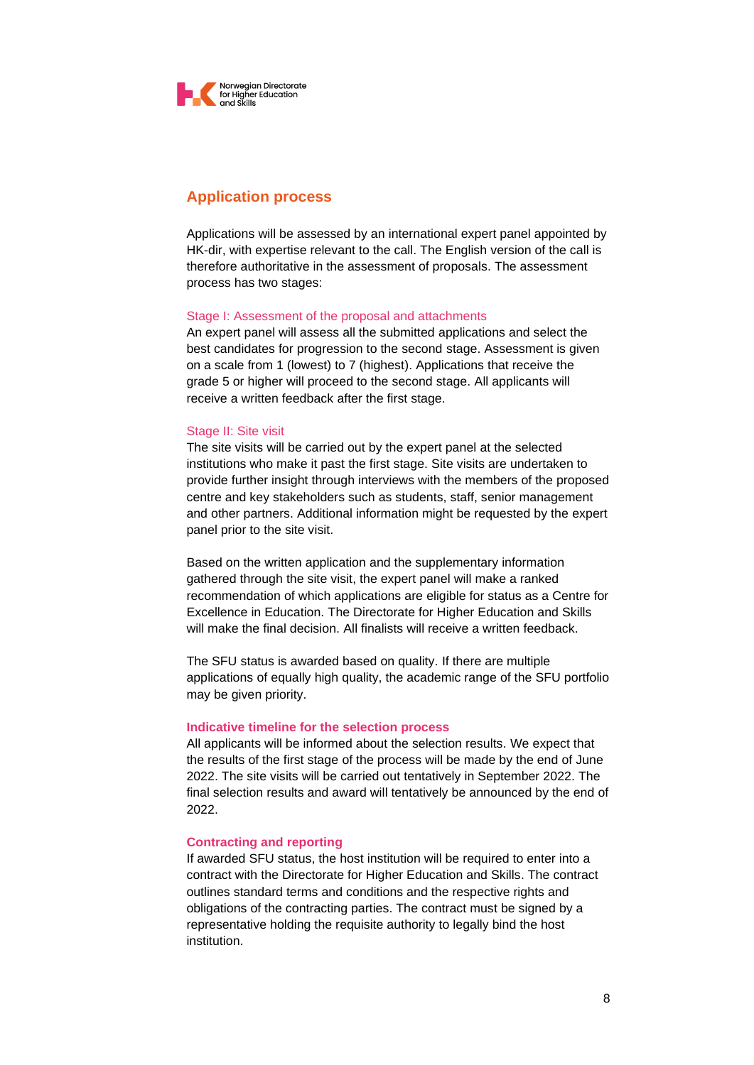

# **Application process**

Applications will be assessed by an international expert panel appointed by HK-dir, with expertise relevant to the call. The English version of the call is therefore authoritative in the assessment of proposals. The assessment process has two stages:

### Stage I: Assessment of the proposal and attachments

An expert panel will assess all the submitted applications and select the best candidates for progression to the second stage. Assessment is given on a scale from 1 (lowest) to 7 (highest). Applications that receive the grade 5 or higher will proceed to the second stage. All applicants will receive a written feedback after the first stage.

#### Stage II: Site visit

The site visits will be carried out by the expert panel at the selected institutions who make it past the first stage. Site visits are undertaken to provide further insight through interviews with the members of the proposed centre and key stakeholders such as students, staff, senior management and other partners. Additional information might be requested by the expert panel prior to the site visit.

Based on the written application and the supplementary information gathered through the site visit, the expert panel will make a ranked recommendation of which applications are eligible for status as a Centre for Excellence in Education. The Directorate for Higher Education and Skills will make the final decision. All finalists will receive a written feedback.

The SFU status is awarded based on quality. If there are multiple applications of equally high quality, the academic range of the SFU portfolio may be given priority.

#### **Indicative timeline for the selection process**

All applicants will be informed about the selection results. We expect that the results of the first stage of the process will be made by the end of June 2022. The site visits will be carried out tentatively in September 2022. The final selection results and award will tentatively be announced by the end of 2022.

#### **Contracting and reporting**

If awarded SFU status, the host institution will be required to enter into a contract with the Directorate for Higher Education and Skills. The contract outlines standard terms and conditions and the respective rights and obligations of the contracting parties. The contract must be signed by a representative holding the requisite authority to legally bind the host institution.